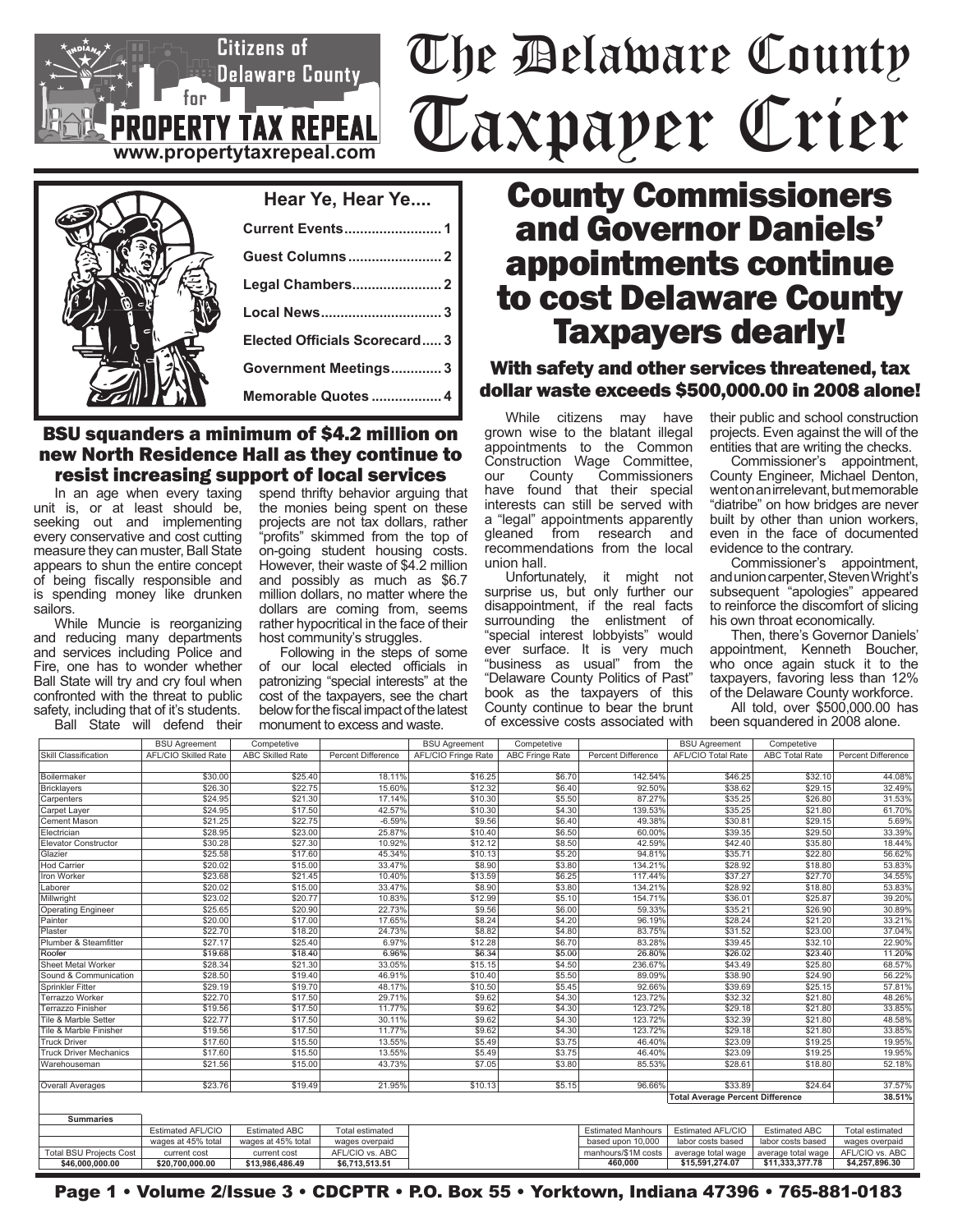# The Delaware County Taxpayer Crier

## **Hear Ye, Hear Ye.... Current Events......................... 1 Guest Columns........................ 2 Legal Chambers....................... 2 Local News............................... 3 Elected Officials Scorecard..... 3 Government Meetings............. 3 Memorable Quotes .................. 4**

**www.propertytaxrepeal.com**

 $for$ 

Citizens of

**PERTY TAX REPEAL** 

Delaware County

#### BSU squanders a minimum of \$4.2 million on new North Residence Hall as they continue to resist increasing support of local services

In an age when every taxing unit is, or at least should be, seeking out and implementing every conservative and cost cutting measure they can muster, Ball State appears to shun the entire concept of being fiscally responsible and is spending money like drunken sailors.

While Muncie is reorganizing and reducing many departments and services including Police and Fire, one has to wonder whether Ball State will try and cry foul when confronted with the threat to public safety, including that of it's students.

Ball State will defend their

spend thrifty behavior arguing that the monies being spent on these projects are not tax dollars, rather "profits" skimmed from the top of on-going student housing costs. However, their waste of \$4.2 million and possibly as much as \$6.7 million dollars, no matter where the dollars are coming from, seems rather hypocritical in the face of their host community's struggles.

Following in the steps of some of our local elected officials in patronizing "special interests" at the cost of the taxpayers, see the chart below for the fiscal impact of the latest monument to excess and waste.

# County Commissioners and Governor Daniels' appointments continue to cost Delaware County Taxpayers dearly!

### With safety and other services threatened, tax dollar waste exceeds \$500,000.00 in 2008 alone!

While citizens may have grown wise to the blatant illegal appointments to the Common Construction Wage Committee,<br>our County Commissioners Commissioners have found that their special interests can still be served with a "legal" appointments apparently<br>gleaned from research and from research and recommendations from the local union hall.

Unfortunately, it might not surprise us, but only further our disappointment, if the real facts surrounding the enlistment of "special interest lobbyists" would ever surface. It is very much "business as usual" from the "Delaware County Politics of Past" book as the taxpayers of this County continue to bear the brunt of excessive costs associated with

their public and school construction projects. Even against the will of the entities that are writing the checks.

Commissioner's appointment, County Engineer, Michael Denton, went on an irrelevant, but memorable "diatribe" on how bridges are never built by other than union workers, even in the face of documented evidence to the contrary.

Commissioner's appointment, and union carpenter, Steven Wright's subsequent "apologies" appeared to reinforce the discomfort of slicing his own throat economically.

Then, there's Governor Daniels' appointment, Kenneth Boucher, who once again stuck it to the taxpayers, favoring less than 12% of the Delaware County workforce.

All told, over \$500,000.00 has been squandered in 2008 alone.

|                                | <b>BSU Agreement</b>        | Competetive             |                           | <b>BSU Agreement</b> | Competetive            |                           | <b>BSU Agreement</b>                              | Competetive           |                           |
|--------------------------------|-----------------------------|-------------------------|---------------------------|----------------------|------------------------|---------------------------|---------------------------------------------------|-----------------------|---------------------------|
| Skill Classification           | <b>AFL/CIO Skilled Rate</b> | <b>ABC Skilled Rate</b> | <b>Percent Difference</b> | AFL/CIO Fringe Rate  | <b>ABC Fringe Rate</b> | <b>Percent Difference</b> | <b>AFL/CIO Total Rate</b>                         | <b>ABC Total Rate</b> | <b>Percent Difference</b> |
|                                |                             |                         |                           |                      |                        |                           |                                                   |                       |                           |
| Boilermaker                    | \$30.00                     | \$25.40                 | 18.11%                    | \$16.25              | \$6.70                 | 142.54%                   | \$46.25                                           | \$32.10               | 44.08%                    |
| Bricklayers                    | \$26.30                     | \$22.75                 | 15.60%                    | \$12.32              | \$6.40                 | 92.50%                    | \$38.62                                           | \$29.15               | 32.49%                    |
| Carpenters                     | \$24.95                     | \$21.30                 | 17.14%                    | \$10.30              | \$5.50                 | 87.27%                    | \$35.25                                           | \$26.80               | 31.53%                    |
| Carpet Layer                   | \$24.95                     | \$17.50                 | 42.57%                    | \$10.30              | \$4.30                 | 139.53%                   | \$35.25                                           | \$21.80               | 61.70%                    |
| Cement Mason                   | \$21.25                     | \$22.75                 | $-6.59%$                  | \$9.56               | \$6.40                 | 49.38%                    | \$30.81                                           | \$29.15               | 5.69%                     |
| Electrician                    | \$28.95                     | \$23.00                 | 25.87%                    | \$10.40              | \$6.50                 | 60.00%                    | \$39.35                                           | \$29.50               | 33.39%                    |
| <b>Elevator Constructor</b>    | \$30.28                     | \$27.30                 | 10.92%                    | \$12.12              | \$8.50                 | 42.59%                    | \$42.40                                           | \$35.80               | 18.44%                    |
| Glazier                        | \$25.58                     | \$17.60                 | 45.34%                    | \$10.13              | \$5.20                 | 94.81%                    | \$35.71                                           | \$22.80               | 56.62%                    |
| <b>Hod Carrier</b>             | \$20.02                     | \$15.00                 | 33.47%                    | \$8.90               | \$3.80                 | 134.21%                   | \$28.92                                           | \$18.80               | 53.83%                    |
| <b>Iron Worker</b>             | \$23.68                     | \$21.45                 | 10.40%                    | \$13.59              | \$6.25                 | 117.44%                   | \$37.27                                           | \$27.70               | 34.55%                    |
| Laborer                        | \$20.02                     | \$15.00                 | 33.47%                    | \$8.90               | \$3.80                 | 134.21%                   | \$28.92                                           | \$18.80               | 53.83%                    |
| Millwright                     | \$23.02                     | \$20.77                 | 10.83%                    | \$12.99              | \$5.10                 | 154.71%                   | \$36.01                                           | \$25.87               | 39.20%                    |
| <b>Operating Engineer</b>      | \$25.65                     | \$20.90                 | 22.73%                    | \$9.56               | \$6.00                 | 59.33%                    | \$35.21                                           | \$26.90               | 30.89%                    |
| Painter                        | \$20.00                     | \$17.00                 | 17.65%                    | \$8.24               | \$4.20                 | 96.19%                    | \$28.24                                           | \$21.20               | 33.21%                    |
| Plaster                        | \$22.70                     | \$18.20                 | 24.73%                    | \$8.82               | \$4.80                 | 83.75%                    | \$31.52                                           | \$23.00               | 37.04%                    |
| Plumber & Steamfitter          | \$27.17                     | \$25.40                 | 6.97%                     | \$12.28              | \$6.70                 | 83.28%                    | \$39.45                                           | \$32.10               | 22.90%                    |
| Roofer                         | \$19.68                     | \$18.40                 | 6.96%                     | \$6.34               | \$5.00                 | 26.80%                    | \$26.02                                           | \$23.40               | 11.20%                    |
| Sheet Metal Worker             | \$28.34                     | \$21.30                 | 33.05%                    | \$15.15              | \$4.50                 | 236.67%                   | \$43.49                                           | \$25.80               | 68.57%                    |
| Sound & Communication          | \$28.50                     | \$19.40                 | 46.91%                    | \$10.40              | \$5.50                 | 89.09%                    | \$38.90                                           | \$24.90               | 56.22%                    |
| Sprinkler Fitter               | \$29.19                     | \$19.70                 | 48.17%                    | \$10.50              | \$5.45                 | 92.66%                    | \$39.69                                           | \$25.15               | 57.81%                    |
| Terrazzo Worker                | \$22.70                     | \$17.50                 | 29.71%                    | \$9.62               | \$4.30                 | 123.72%                   | \$32.32                                           | \$21.80               | 48.26%                    |
| Terrazzo Finisher              | \$19.56                     | \$17.50                 | 11.77%                    | \$9.62               | \$4.30                 | 123.72%                   | \$29.18                                           | \$21.80               | 33.85%                    |
| Tile & Marble Setter           | \$22.77                     | \$17.50                 | 30.11%                    | \$9.62               | \$4.30                 | 123.72%                   | \$32.39                                           | \$21.80               | 48.58%                    |
| Tile & Marble Finisher         | \$19.56                     | \$17.50                 | 11.77%                    | \$9.62               | \$4.30                 | 123.72%                   | \$29.18                                           | \$21.80               | 33.85%                    |
| <b>Truck Driver</b>            | \$17.60                     | \$15.50                 | 13.55%                    | \$5.49               | \$3.75                 | 46.40%                    | \$23.09                                           | \$19.25               | 19.95%                    |
| <b>Truck Driver Mechanics</b>  | \$17.60                     | \$15.50                 | 13.55%                    | \$5.49               | \$3.75                 | 46.40%                    | \$23.09                                           | \$19.25               | 19.95%                    |
| Warehouseman                   | \$21.56                     | \$15.00                 | 43.73%                    | \$7.05               | \$3.80                 | 85.53%                    | \$28.61                                           | \$18.80               | 52.18%                    |
|                                |                             |                         |                           |                      |                        |                           |                                                   |                       |                           |
| Overall Averages               | \$23.76                     | \$19.49                 | 21.95%                    | \$10.13              | \$5.15                 | 96.66%                    | \$33.89                                           | \$24.64               | 37.57%                    |
|                                |                             |                         |                           |                      |                        |                           | <b>Total Average Percent Difference</b><br>38.51% |                       |                           |
| <b>Summaries</b>               |                             |                         |                           |                      |                        |                           |                                                   |                       |                           |
|                                | Estimated AFL/CIO           | <b>Estimated ABC</b>    | Total estimated           |                      |                        | <b>Estimated Manhours</b> | Estimated AFL/CIO                                 | <b>Estimated ABC</b>  | <b>Total estimated</b>    |
|                                | wages at 45% total          | wages at 45% total      | wages overpaid            |                      |                        | based upon 10,000         | labor costs based                                 | labor costs based     | wages overpaid            |
| <b>Total BSU Projects Cost</b> | current cost                | current cost            | AFL/CIO vs. ABC           |                      |                        | manhours/\$1M costs       | average total wage                                | average total wage    | AFL/CIO vs. ABC           |
| \$46,000,000.00                | \$20.700.000.00             | \$13.986.486.49         | \$6,713,513.51            |                      |                        | 460,000                   | \$15,591,274.07                                   | \$11,333,377.78       | \$4,257,896.30            |

Page 1 • Volume 2/Issue 3 • CDCPTR • P.O. Box 55 • Yorktown, Indiana 47396 • 765-881-0183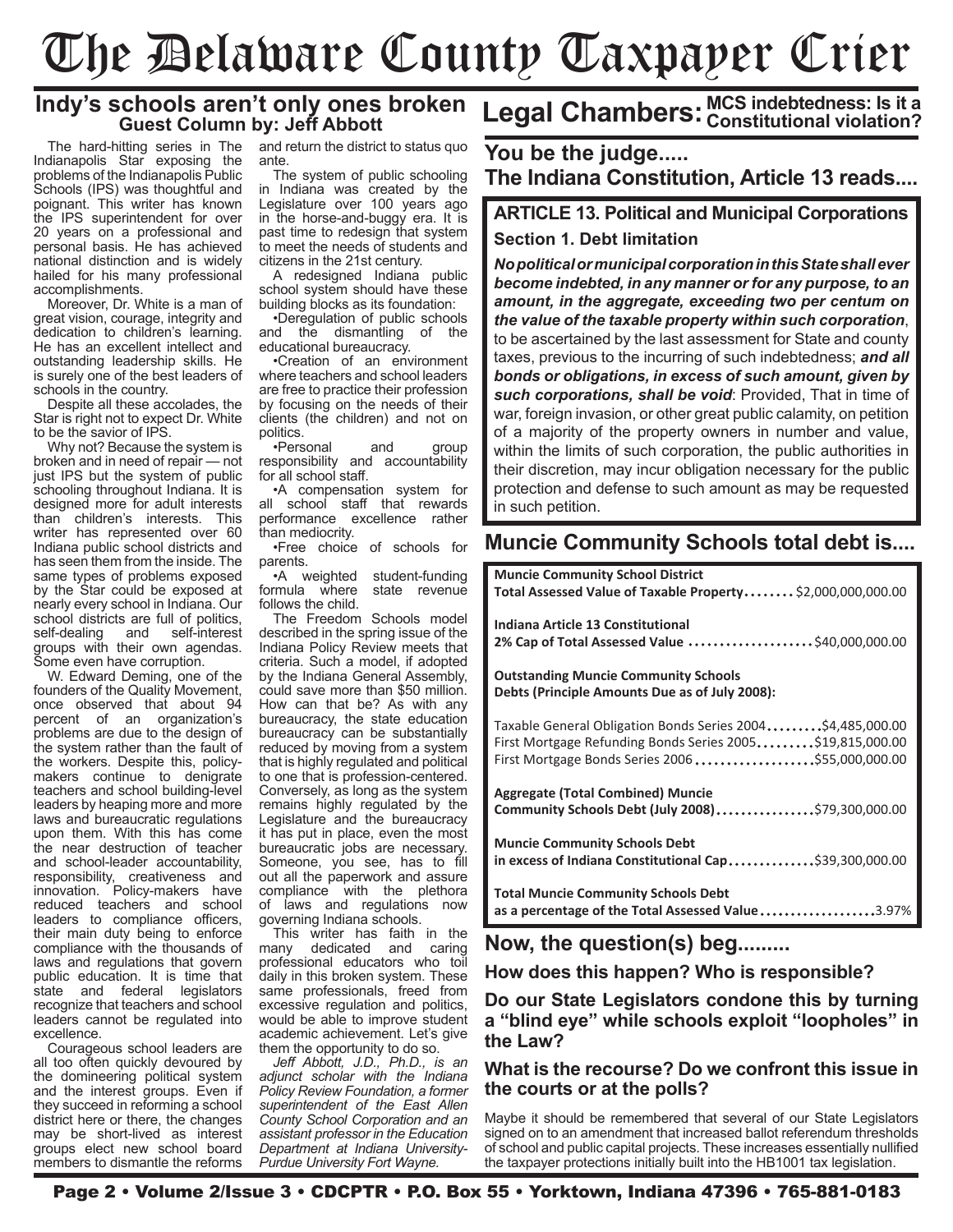# The Delaware County Taxpayer Crier

### **Indy's schools aren't only ones broken Guest Column by: Jeff Abbott**

The hard-hitting series in The Indianapolis Star exposing the problems of the Indianapolis Public Schools (IPS) was thoughtful and poignant. This writer has known the IPS superintendent for over 20 years on a professional and personal basis. He has achieved national distinction and is widely hailed for his many professional accomplishments.

Moreover, Dr. White is a man of great vision, courage, integrity and dedication to children's learning. He has an excellent intellect and outstanding leadership skills. He is surely one of the best leaders of schools in the country.

Despite all these accolades, the Star is right not to expect Dr. White to be the savior of IPS.

Why not? Because the system is broken and in need of repair — not just IPS but the system of public schooling throughout Indiana. It is designed more for adult interests than children's interests. This writer has represented over 60 Indiana public school districts and has seen them from the inside. The same types of problems exposed by the Star could be exposed at nearly every school in Indiana. Our school districts are full of politics,<br>self-dealing and self-interest self-dealing groups with their own agendas. Some even have corruption.

W. Edward Deming, one of the founders of the Quality Movement, once observed that about 94 percent of an organization's problems are due to the design of the system rather than the fault of the workers. Despite this, policymakers continue to denigrate teachers and school building-level leaders by heaping more and more laws and bureaucratic regulations upon them. With this has come the near destruction of teacher and school-leader accountability, responsibility, creativeness and innovation. Policy-makers have reduced teachers and school leaders to compliance officers, their main duty being to enforce compliance with the thousands of laws and regulations that govern public education. It is time that state and federal legislators recognize that teachers and school leaders cannot be regulated into excellence.

Courageous school leaders are all too often quickly devoured by the domineering political system and the interest groups. Even if they succeed in reforming a school district here or there, the changes may be short-lived as interest groups elect new school board members to dismantle the reforms and return the district to status quo ante.

The system of public schooling in Indiana was created by the Legislature over 100 years ago in the horse-and-buggy era. It is past time to redesign that system to meet the needs of students and citizens in the 21st century.

A redesigned Indiana public school system should have these building blocks as its foundation:

•Deregulation of public schools and the dismantling of the educational bureaucracy.

•Creation of an environment where teachers and school leaders are free to practice their profession by focusing on the needs of their clients (the children) and not on politics.

•Personal and group responsibility and accountability for all school staff.

•A compensation system for all school staff that rewards performance excellence rather than mediocrity.

•Free choice of schools for parents.

•A weighted student-funding formula where follows the child.

The Freedom Schools model described in the spring issue of the Indiana Policy Review meets that criteria. Such a model, if adopted by the Indiana General Assembly, could save more than \$50 million. How can that be? As with any bureaucracy, the state education bureaucracy can be substantially reduced by moving from a system that is highly regulated and political to one that is profession-centered. Conversely, as long as the system remains highly regulated by the Legislature and the bureaucracy it has put in place, even the most bureaucratic jobs are necessary. Someone, you see, has to fill out all the paperwork and assure compliance with the plethora of laws and regulations now governing Indiana schools.

This writer has faith in the<br>any dedicated and caring many dedicated and professional educators who toil daily in this broken system. These same professionals, freed from excessive regulation and politics, would be able to improve student academic achievement. Let's give them the opportunity to do so.

*Jeff Abbott, J.D., Ph.D., is an adjunct scholar with the Indiana Policy Review Foundation, a former superintendent of the East Allen County School Corporation and an assistant professor in the Education Department at Indiana University-Purdue University Fort Wayne.*

# **Legal Chambers: MCS indebtedness: Is it a Constitutional violation?**

### **The Indiana Constitution, Article 13 reads.... You be the judge.....**

### **ARTICLE 13. Political and Municipal Corporations Section 1. Debt limitation**

*No political or municipal corporation in this State shall ever become indebted, in any manner or for any purpose, to an amount, in the aggregate, exceeding two per centum on the value of the taxable property within such corporation*, to be ascertained by the last assessment for State and county taxes, previous to the incurring of such indebtedness; *and all bonds or obligations, in excess of such amount, given by such corporations, shall be void*: Provided, That in time of war, foreign invasion, or other great public calamity, on petition of a majority of the property owners in number and value, within the limits of such corporation, the public authorities in their discretion, may incur obligation necessary for the public protection and defense to such amount as may be requested in such petition.

### **Muncie Community Schools total debt is....**

| <b>Muncie Community School District</b><br>Total Assessed Value of Taxable Property \$2,000,000,000.00                                                                      |
|-----------------------------------------------------------------------------------------------------------------------------------------------------------------------------|
| Indiana Article 13 Constitutional<br>2% Cap of Total Assessed Value \$40,000,000.00                                                                                         |
| <b>Outstanding Muncie Community Schools</b><br>Debts (Principle Amounts Due as of July 2008):                                                                               |
| Taxable General Obligation Bonds Series 2004\$4,485,000.00<br>First Mortgage Refunding Bonds Series 2005\$19,815,000.00<br>First Mortgage Bonds Series 2006 \$55,000,000.00 |
| <b>Aggregate (Total Combined) Muncie</b><br>Community Schools Debt (July 2008)\$79,300,000.00                                                                               |
| <b>Muncie Community Schools Debt</b><br>in excess of Indiana Constitutional Cap\$39,300,000.00                                                                              |
| <b>Total Muncie Community Schools Debt</b><br>as a percentage of the Total Assessed Value3.97%                                                                              |

**Now, the question(s) beg.........**

**How does this happen? Who is responsible?**

**Do our State Legislators condone this by turning a "blind eye" while schools exploit "loopholes" in the Law?**

### **What is the recourse? Do we confront this issue in the courts or at the polls?**

Maybe it should be remembered that several of our State Legislators signed on to an amendment that increased ballot referendum thresholds of school and public capital projects. These increases essentially nullified the taxpayer protections initially built into the HB1001 tax legislation.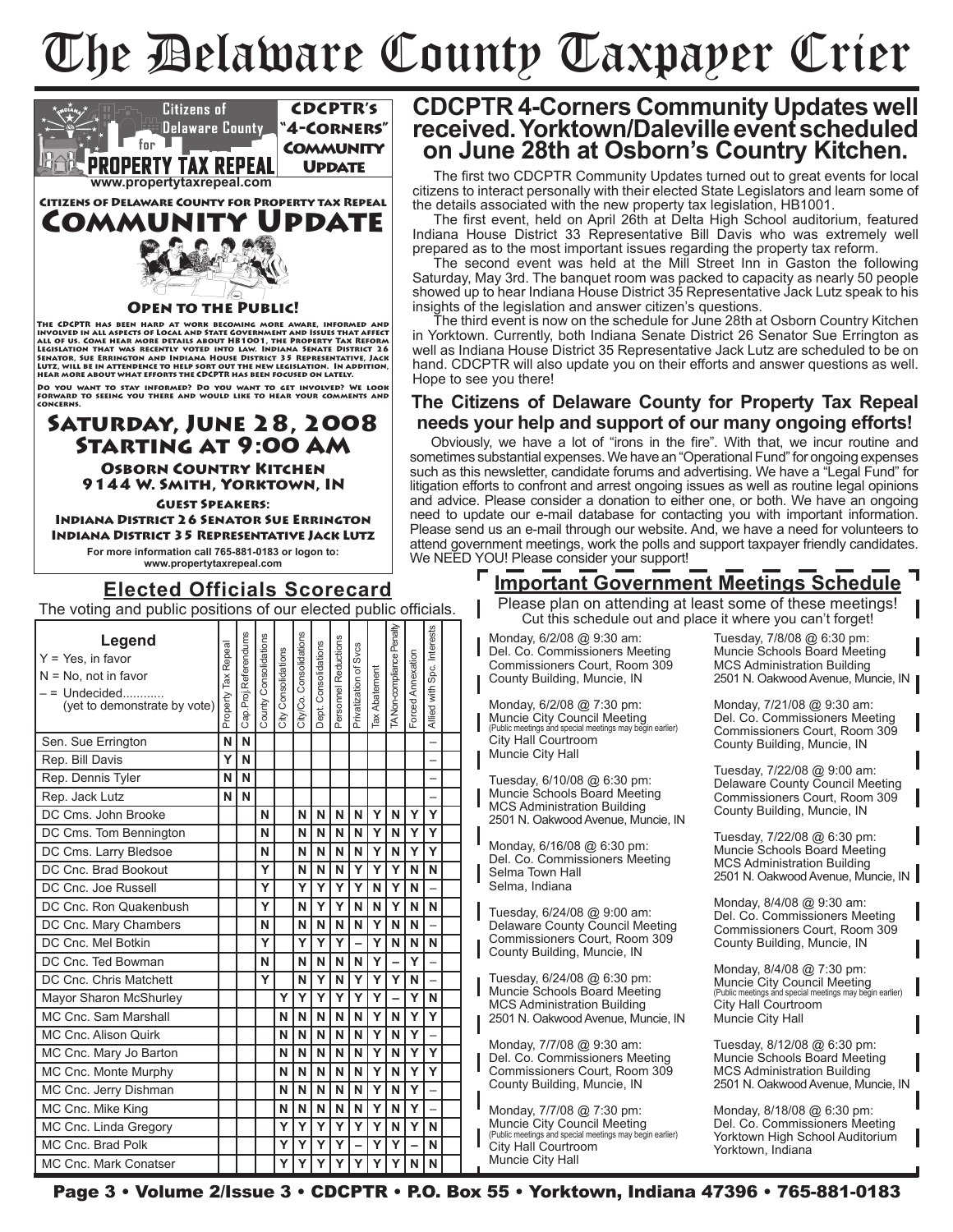# The Delaware County Taxpayer Crier



### **CDCPTR 4-Corners Community Updates well received. Yorktown/Daleville event scheduled on June 28th at Osborn's Country Kitchen.**

The first two CDCPTR Community Updates turned out to great events for local citizens to interact personally with their elected State Legislators and learn some of the details associated with the new property tax legislation, HB1001.

The first event, held on April 26th at Delta High School auditorium, featured Indiana House District 33 Representative Bill Davis who was extremely well prepared as to the most important issues regarding the property tax reform.

The second event was held at the Mill Street Inn in Gaston the following Saturday, May 3rd. The banquet room was packed to capacity as nearly 50 people showed up to hear Indiana House District 35 Representative Jack Lutz speak to his insights of the legislation and answer citizen's questions.

The third event is now on the schedule for June 28th at Osborn Country Kitchen in Yorktown. Currently, both Indiana Senate District 26 Senator Sue Errington as well as Indiana House District 35 Representative Jack Lutz are scheduled to be on hand. CDCPTR will also update you on their efforts and answer questions as well. Hope to see you there!

### **The Citizens of Delaware County for Property Tax Repeal needs your help and support of our many ongoing efforts!**

Obviously, we have a lot of "irons in the fire". With that, we incur routine and sometimes substantial expenses. We have an "Operational Fund" for ongoing expenses such as this newsletter, candidate forums and advertising. We have a "Legal Fund" for litigation efforts to confront and arrest ongoing issues as well as routine legal opinions and advice. Please consider a donation to either one, or both. We have an ongoing need to update our e-mail database for contacting you with important information. Please send us an e-mail through our website. And, we have a need for volunteers to attend government meetings, work the polls and support taxpayer friendly candidates. We NEED YOU! Please consider your support!

## **Important Government Meetings Schedule**

Please plan on attending at least some of these meetings! Cut this schedule out and place it where you can't forget!

Monday, 6/2/08 @ 9:30 am: Del. Co. Commissioners Meeting Commissioners Court, Room 309 County Building, Muncie, IN

Monday, 6/2/08 @ 7:30 pm: Muncie City Council Meeting (Public meetings and special meetings may begin earlier) City Hall Courtroom Muncie City Hall

Tuesday, 6/10/08 @ 6:30 pm: Muncie Schools Board Meeting MCS Administration Building 2501 N. Oakwood Avenue, Muncie, IN

Monday, 6/16/08 @ 6:30 pm: Del. Co. Commissioners Meeting Selma Town Hall Selma, Indiana

Tuesday, 6/24/08 @ 9:00 am: Delaware County Council Meeting Commissioners Court, Room 309 County Building, Muncie, IN

Tuesday, 6/24/08 @ 6:30 pm: Muncie Schools Board Meeting MCS Administration Building 2501 N. Oakwood Avenue, Muncie, IN

Monday, 7/7/08 @ 9:30 am: Del. Co. Commissioners Meeting Commissioners Court, Room 309 County Building, Muncie, IN

Monday, 7/7/08 @ 7:30 pm: Muncie City Council Meeting (Public meetings and special meetings may begin earlier) City Hall Courtroom Muncie City Hall

Tuesday, 7/8/08 @ 6:30 pm: Muncie Schools Board Meeting MCS Administration Building 2501 N. Oakwood Avenue, Muncie, IN

Monday, 7/21/08 @ 9:30 am: Del. Co. Commissioners Meeting Commissioners Court, Room 309 County Building, Muncie, IN

Tuesday, 7/22/08 @ 9:00 am: Delaware County Council Meeting Commissioners Court, Room 309 County Building, Muncie, IN

Tuesday, 7/22/08 @ 6:30 pm: Muncie Schools Board Meeting MCS Administration Building 2501 N. Oakwood Avenue, Muncie, IN

Monday, 8/4/08 @ 9:30 am: Del. Co. Commissioners Meeting Commissioners Court, Room 309 County Building, Muncie, IN

Monday, 8/4/08 @ 7:30 pm: Muncie City Council Meeting (Public meetings and special meetings may begin earlier) City Hall Courtroom Muncie City Hall

Tuesday, 8/12/08 @ 6:30 pm: Muncie Schools Board Meeting MCS Administration Building 2501 N. Oakwood Avenue, Muncie, IN

Monday, 8/18/08 @ 6:30 pm: Del. Co. Commissioners Meeting Yorktown High School Auditorium Yorktown, Indiana

Page 3 • Volume 2/Issue 3 • CDCPTR • P.O. Box 55 • Yorktown, Indiana 47396 • 765-881-0183